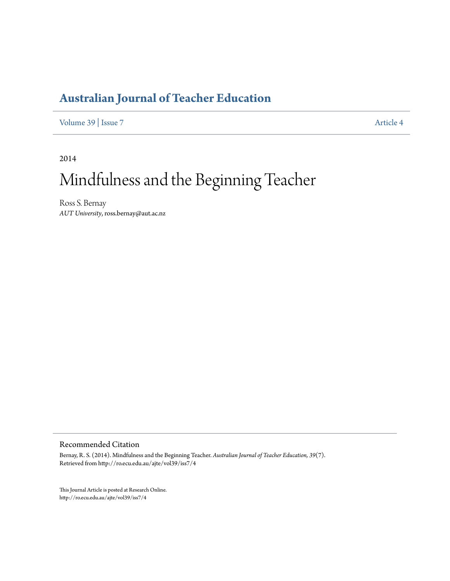# **[Australian Journal of Teacher Education](http://ro.ecu.edu.au/ajte)**

[Volume 39](http://ro.ecu.edu.au/ajte/vol39) | [Issue 7](http://ro.ecu.edu.au/ajte/vol39/iss7) [Article 4](http://ro.ecu.edu.au/ajte/vol39/iss7/4)

2014

# Mindfulness and the Beginning Teacher

Ross S. Bernay *AUT University*, ross.bernay@aut.ac.nz

Recommended Citation

Bernay, R. S. (2014). Mindfulness and the Beginning Teacher. *Australian Journal of Teacher Education, 39*(7). Retrieved from http://ro.ecu.edu.au/ajte/vol39/iss7/4

This Journal Article is posted at Research Online. http://ro.ecu.edu.au/ajte/vol39/iss7/4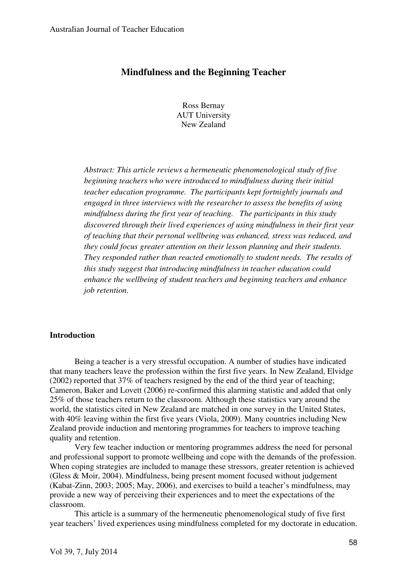### **Mindfulness and the Beginning Teacher**

Ross Bernay AUT University New Zealand

*Abstract: This article reviews a hermeneutic phenomenological study of five beginning teachers who were introduced to mindfulness during their initial teacher education programme. The participants kept fortnightly journals and engaged in three interviews with the researcher to assess the benefits of using mindfulness during the first year of teaching. The participants in this study discovered through their lived experiences of using mindfulness in their first year of teaching that their personal wellbeing was enhanced, stress was reduced, and they could focus greater attention on their lesson planning and their students. They responded rather than reacted emotionally to student needs. The results of this study suggest that introducing mindfulness in teacher education could enhance the wellbeing of student teachers and beginning teachers and enhance job retention.* 

#### **Introduction**

Being a teacher is a very stressful occupation. A number of studies have indicated that many teachers leave the profession within the first five years. In New Zealand, Elvidge (2002) reported that 37% of teachers resigned by the end of the third year of teaching; Cameron, Baker and Lovett (2006) re-confirmed this alarming statistic and added that only 25% of those teachers return to the classroom. Although these statistics vary around the world, the statistics cited in New Zealand are matched in one survey in the United States, with 40% leaving within the first five years (Viola, 2009). Many countries including New Zealand provide induction and mentoring programmes for teachers to improve teaching quality and retention.

Very few teacher induction or mentoring programmes address the need for personal and professional support to promote wellbeing and cope with the demands of the profession. When coping strategies are included to manage these stressors, greater retention is achieved (Gless & Moir, 2004). Mindfulness, being present moment focused without judgement (Kabat-Zinn, 2003; 2005; May, 2006), and exercises to build a teacher's mindfulness, may provide a new way of perceiving their experiences and to meet the expectations of the classroom.

This article is a summary of the hermeneutic phenomenological study of five first year teachers' lived experiences using mindfulness completed for my doctorate in education.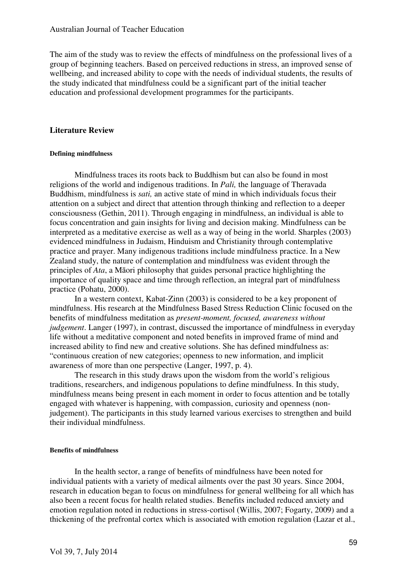The aim of the study was to review the effects of mindfulness on the professional lives of a group of beginning teachers. Based on perceived reductions in stress, an improved sense of wellbeing, and increased ability to cope with the needs of individual students, the results of the study indicated that mindfulness could be a significant part of the initial teacher education and professional development programmes for the participants.

#### **Literature Review**

#### **Defining mindfulness**

Mindfulness traces its roots back to Buddhism but can also be found in most religions of the world and indigenous traditions. In *Pali,* the language of Theravada Buddhism, mindfulness is *sati,* an active state of mind in which individuals focus their attention on a subject and direct that attention through thinking and reflection to a deeper consciousness (Gethin, 2011). Through engaging in mindfulness, an individual is able to focus concentration and gain insights for living and decision making. Mindfulness can be interpreted as a meditative exercise as well as a way of being in the world. Sharples (2003) evidenced mindfulness in Judaism, Hinduism and Christianity through contemplative practice and prayer. Many indigenous traditions include mindfulness practice. In a New Zealand study, the nature of contemplation and mindfulness was evident through the principles of *Ata*, a Māori philosophy that guides personal practice highlighting the importance of quality space and time through reflection, an integral part of mindfulness practice (Pohatu, 2000).

In a western context, Kabat-Zinn (2003) is considered to be a key proponent of mindfulness. His research at the Mindfulness Based Stress Reduction Clinic focused on the benefits of mindfulness meditation as *present-moment, focused, awareness without judgement*. Langer (1997), in contrast, discussed the importance of mindfulness in everyday life without a meditative component and noted benefits in improved frame of mind and increased ability to find new and creative solutions. She has defined mindfulness as: "continuous creation of new categories; openness to new information, and implicit awareness of more than one perspective (Langer, 1997, p. 4).

The research in this study draws upon the wisdom from the world's religious traditions, researchers, and indigenous populations to define mindfulness. In this study, mindfulness means being present in each moment in order to focus attention and be totally engaged with whatever is happening, with compassion, curiosity and openness (nonjudgement). The participants in this study learned various exercises to strengthen and build their individual mindfulness.

#### **Benefits of mindfulness**

In the health sector, a range of benefits of mindfulness have been noted for individual patients with a variety of medical ailments over the past 30 years. Since 2004, research in education began to focus on mindfulness for general wellbeing for all which has also been a recent focus for health related studies. Benefits included reduced anxiety and emotion regulation noted in reductions in stress-cortisol (Willis, 2007; Fogarty, 2009) and a thickening of the prefrontal cortex which is associated with emotion regulation (Lazar et al.,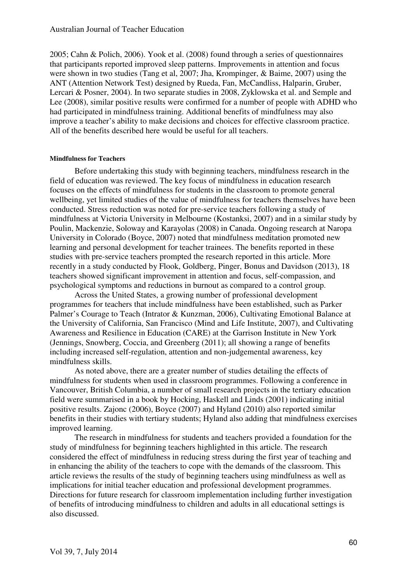2005; Cahn & Polich, 2006). Yook et al. (2008) found through a series of questionnaires that participants reported improved sleep patterns. Improvements in attention and focus were shown in two studies (Tang et al, 2007; Jha, Krompinger, & Baime, 2007) using the ANT (Attention Network Test) designed by Rueda, Fan, McCandliss, Halparin, Gruber, Lercari & Posner, 2004). In two separate studies in 2008, Zyklowska et al. and Semple and Lee (2008), similar positive results were confirmed for a number of people with ADHD who had participated in mindfulness training. Additional benefits of mindfulness may also improve a teacher's ability to make decisions and choices for effective classroom practice. All of the benefits described here would be useful for all teachers.

#### **Mindfulness for Teachers**

Before undertaking this study with beginning teachers, mindfulness research in the field of education was reviewed. The key focus of mindfulness in education research focuses on the effects of mindfulness for students in the classroom to promote general wellbeing, yet limited studies of the value of mindfulness for teachers themselves have been conducted. Stress reduction was noted for pre-service teachers following a study of mindfulness at Victoria University in Melbourne (Kostanksi, 2007) and in a similar study by Poulin, Mackenzie, Soloway and Karayolas (2008) in Canada. Ongoing research at Naropa University in Colorado (Boyce, 2007) noted that mindfulness meditation promoted new learning and personal development for teacher trainees. The benefits reported in these studies with pre-service teachers prompted the research reported in this article. More recently in a study conducted by Flook, Goldberg, Pinger, Bonus and Davidson (2013), 18 teachers showed significant improvement in attention and focus, self-compassion, and psychological symptoms and reductions in burnout as compared to a control group.

Across the United States, a growing number of professional development programmes for teachers that include mindfulness have been established, such as Parker Palmer's Courage to Teach (Intrator & Kunzman, 2006), Cultivating Emotional Balance at the University of California, San Francisco (Mind and Life Institute, 2007), and Cultivating Awareness and Resilience in Education (CARE) at the Garrison Institute in New York (Jennings, Snowberg, Coccia, and Greenberg (2011); all showing a range of benefits including increased self-regulation, attention and non-judgemental awareness, key mindfulness skills.

As noted above, there are a greater number of studies detailing the effects of mindfulness for students when used in classroom programmes. Following a conference in Vancouver, British Columbia, a number of small research projects in the tertiary education field were summarised in a book by Hocking, Haskell and Linds (2001) indicating initial positive results. Zajonc (2006), Boyce (2007) and Hyland (2010) also reported similar benefits in their studies with tertiary students; Hyland also adding that mindfulness exercises improved learning.

The research in mindfulness for students and teachers provided a foundation for the study of mindfulness for beginning teachers highlighted in this article. The research considered the effect of mindfulness in reducing stress during the first year of teaching and in enhancing the ability of the teachers to cope with the demands of the classroom. This article reviews the results of the study of beginning teachers using mindfulness as well as implications for initial teacher education and professional development programmes. Directions for future research for classroom implementation including further investigation of benefits of introducing mindfulness to children and adults in all educational settings is also discussed.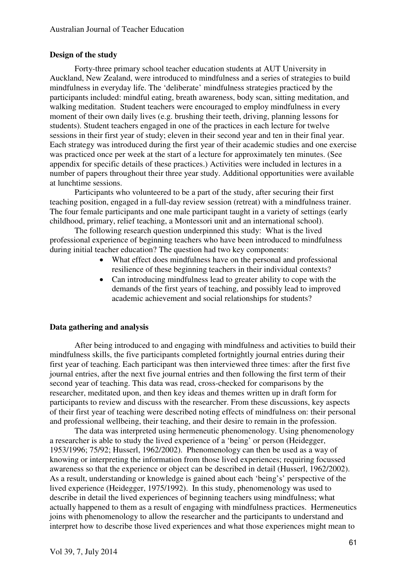#### **Design of the study**

Forty-three primary school teacher education students at AUT University in Auckland, New Zealand, were introduced to mindfulness and a series of strategies to build mindfulness in everyday life. The 'deliberate' mindfulness strategies practiced by the participants included: mindful eating, breath awareness, body scan, sitting meditation, and walking meditation. Student teachers were encouraged to employ mindfulness in every moment of their own daily lives (e.g. brushing their teeth, driving, planning lessons for students). Student teachers engaged in one of the practices in each lecture for twelve sessions in their first year of study; eleven in their second year and ten in their final year. Each strategy was introduced during the first year of their academic studies and one exercise was practiced once per week at the start of a lecture for approximately ten minutes. (See appendix for specific details of these practices.) Activities were included in lectures in a number of papers throughout their three year study. Additional opportunities were available at lunchtime sessions.

Participants who volunteered to be a part of the study, after securing their first teaching position, engaged in a full-day review session (retreat) with a mindfulness trainer. The four female participants and one male participant taught in a variety of settings (early childhood, primary, relief teaching, a Montessori unit and an international school).

The following research question underpinned this study: What is the lived professional experience of beginning teachers who have been introduced to mindfulness during initial teacher education? The question had two key components:

- What effect does mindfulness have on the personal and professional resilience of these beginning teachers in their individual contexts?
- Can introducing mindfulness lead to greater ability to cope with the demands of the first years of teaching, and possibly lead to improved academic achievement and social relationships for students?

#### **Data gathering and analysis**

After being introduced to and engaging with mindfulness and activities to build their mindfulness skills, the five participants completed fortnightly journal entries during their first year of teaching. Each participant was then interviewed three times: after the first five journal entries, after the next five journal entries and then following the first term of their second year of teaching. This data was read, cross-checked for comparisons by the researcher, meditated upon, and then key ideas and themes written up in draft form for participants to review and discuss with the researcher. From these discussions, key aspects of their first year of teaching were described noting effects of mindfulness on: their personal and professional wellbeing, their teaching, and their desire to remain in the profession.

The data was interpreted using hermeneutic phenomenology. Using phenomenology a researcher is able to study the lived experience of a 'being' or person (Heidegger, 1953/1996; 75/92; Husserl, 1962/2002). Phenomenology can then be used as a way of knowing or interpreting the information from those lived experiences; requiring focussed awareness so that the experience or object can be described in detail (Husserl, 1962/2002). As a result, understanding or knowledge is gained about each 'being's' perspective of the lived experience (Heidegger, 1975/1992). In this study, phenomenology was used to describe in detail the lived experiences of beginning teachers using mindfulness; what actually happened to them as a result of engaging with mindfulness practices. Hermeneutics joins with phenomenology to allow the researcher and the participants to understand and interpret how to describe those lived experiences and what those experiences might mean to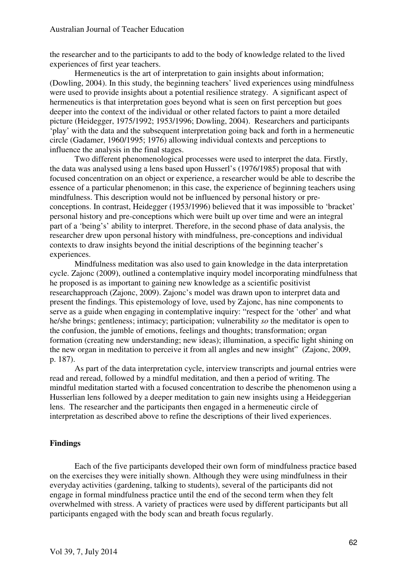the researcher and to the participants to add to the body of knowledge related to the lived experiences of first year teachers.

Hermeneutics is the art of interpretation to gain insights about information; (Dowling, 2004). In this study, the beginning teachers' lived experiences using mindfulness were used to provide insights about a potential resilience strategy. A significant aspect of hermeneutics is that interpretation goes beyond what is seen on first perception but goes deeper into the context of the individual or other related factors to paint a more detailed picture (Heidegger, 1975/1992; 1953/1996; Dowling, 2004). Researchers and participants 'play' with the data and the subsequent interpretation going back and forth in a hermeneutic circle (Gadamer, 1960/1995; 1976) allowing individual contexts and perceptions to influence the analysis in the final stages.

Two different phenomenological processes were used to interpret the data. Firstly, the data was analysed using a lens based upon Husserl's (1976/1985) proposal that with focused concentration on an object or experience, a researcher would be able to describe the essence of a particular phenomenon; in this case, the experience of beginning teachers using mindfulness. This description would not be influenced by personal history or preconceptions. In contrast, Heidegger (1953/1996) believed that it was impossible to 'bracket' personal history and pre-conceptions which were built up over time and were an integral part of a 'being's' ability to interpret. Therefore, in the second phase of data analysis, the researcher drew upon personal history with mindfulness, pre-conceptions and individual contexts to draw insights beyond the initial descriptions of the beginning teacher's experiences.

Mindfulness meditation was also used to gain knowledge in the data interpretation cycle. Zajonc (2009), outlined a contemplative inquiry model incorporating mindfulness that he proposed is as important to gaining new knowledge as a scientific positivist researchapproach (Zajonc, 2009). Zajonc's model was drawn upon to interpret data and present the findings. This epistemology of love, used by Zajonc, has nine components to serve as a guide when engaging in contemplative inquiry: "respect for the 'other' and what he/she brings; gentleness; intimacy; participation; vulnerability *so* the meditator is open to the confusion, the jumble of emotions, feelings and thoughts; transformation; organ formation (creating new understanding; new ideas); illumination, a specific light shining on the new organ in meditation to perceive it from all angles and new insight" (Zajonc, 2009, p. 187).

As part of the data interpretation cycle, interview transcripts and journal entries were read and reread, followed by a mindful meditation, and then a period of writing. The mindful meditation started with a focused concentration to describe the phenomenon using a Husserlian lens followed by a deeper meditation to gain new insights using a Heideggerian lens. The researcher and the participants then engaged in a hermeneutic circle of interpretation as described above to refine the descriptions of their lived experiences.

#### **Findings**

Each of the five participants developed their own form of mindfulness practice based on the exercises they were initially shown. Although they were using mindfulness in their everyday activities (gardening, talking to students), several of the participants did not engage in formal mindfulness practice until the end of the second term when they felt overwhelmed with stress. A variety of practices were used by different participants but all participants engaged with the body scan and breath focus regularly.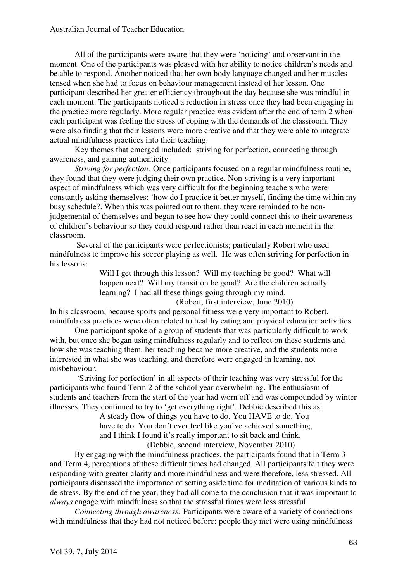#### Australian Journal of Teacher Education

All of the participants were aware that they were 'noticing' and observant in the moment. One of the participants was pleased with her ability to notice children's needs and be able to respond. Another noticed that her own body language changed and her muscles tensed when she had to focus on behaviour management instead of her lesson. One participant described her greater efficiency throughout the day because she was mindful in each moment. The participants noticed a reduction in stress once they had been engaging in the practice more regularly. More regular practice was evident after the end of term 2 when each participant was feeling the stress of coping with the demands of the classroom. They were also finding that their lessons were more creative and that they were able to integrate actual mindfulness practices into their teaching.

Key themes that emerged included: striving for perfection, connecting through awareness, and gaining authenticity.

*Striving for perfection:* Once participants focused on a regular mindfulness routine, they found that they were judging their own practice. Non-striving is a very important aspect of mindfulness which was very difficult for the beginning teachers who were constantly asking themselves: 'how do I practice it better myself, finding the time within my busy schedule?. When this was pointed out to them, they were reminded to be nonjudgemental of themselves and began to see how they could connect this to their awareness of children's behaviour so they could respond rather than react in each moment in the classroom.

 Several of the participants were perfectionists; particularly Robert who used mindfulness to improve his soccer playing as well. He was often striving for perfection in his lessons:

> Will I get through this lesson? Will my teaching be good? What will happen next? Will my transition be good? Are the children actually learning? I had all these things going through my mind.

(Robert, first interview, June 2010)

In his classroom, because sports and personal fitness were very important to Robert, mindfulness practices were often related to healthy eating and physical education activities.

One participant spoke of a group of students that was particularly difficult to work with, but once she began using mindfulness regularly and to reflect on these students and how she was teaching them, her teaching became more creative, and the students more interested in what she was teaching, and therefore were engaged in learning, not misbehaviour.

 'Striving for perfection' in all aspects of their teaching was very stressful for the participants who found Term 2 of the school year overwhelming. The enthusiasm of students and teachers from the start of the year had worn off and was compounded by winter illnesses. They continued to try to 'get everything right'. Debbie described this as:

> A steady flow of things you have to do. You HAVE to do. You have to do. You don't ever feel like you've achieved something, and I think I found it's really important to sit back and think. (Debbie, second interview, November 2010)

By engaging with the mindfulness practices, the participants found that in Term 3 and Term 4, perceptions of these difficult times had changed. All participants felt they were responding with greater clarity and more mindfulness and were therefore, less stressed. All participants discussed the importance of setting aside time for meditation of various kinds to de-stress. By the end of the year, they had all come to the conclusion that it was important to *always* engage with mindfulness so that the stressful times were less stressful.

*Connecting through awareness:* Participants were aware of a variety of connections with mindfulness that they had not noticed before: people they met were using mindfulness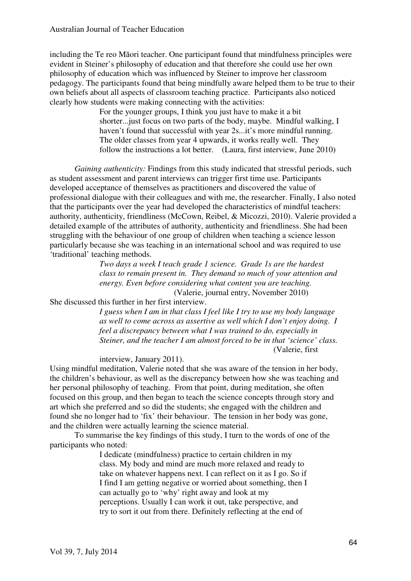including the Te reo Māori teacher. One participant found that mindfulness principles were evident in Steiner's philosophy of education and that therefore she could use her own philosophy of education which was influenced by Steiner to improve her classroom pedagogy. The participants found that being mindfully aware helped them to be true to their own beliefs about all aspects of classroom teaching practice. Participants also noticed clearly how students were making connecting with the activities:

> For the younger groups, I think you just have to make it a bit shorter...just focus on two parts of the body, maybe. Mindful walking, I haven't found that successful with year 2s...it's more mindful running. The older classes from year 4 upwards, it works really well. They follow the instructions a lot better. (Laura, first interview, June 2010)

*Gaining authenticity:* Findings from this study indicated that stressful periods, such as student assessment and parent interviews can trigger first time use. Participants developed acceptance of themselves as practitioners and discovered the value of professional dialogue with their colleagues and with me, the researcher. Finally, I also noted that the participants over the year had developed the characteristics of mindful teachers: authority, authenticity, friendliness (McCown, Reibel, & Micozzi, 2010). Valerie provided a detailed example of the attributes of authority, authenticity and friendliness. She had been struggling with the behaviour of one group of children when teaching a science lesson particularly because she was teaching in an international school and was required to use 'traditional' teaching methods.

> *Two days a week I teach grade 1 science. Grade 1s are the hardest class to remain present in. They demand so much of your attention and energy. Even before considering what content you are teaching.*

(Valerie, journal entry, November 2010)

She discussed this further in her first interview.

*I guess when I am in that class I feel like I try to use my body language as well to come across as assertive as well which I don't enjoy doing. I feel a discrepancy between what I was trained to do, especially in Steiner, and the teacher I am almost forced to be in that 'science' class.* (Valerie, first

interview, January 2011).

Using mindful meditation, Valerie noted that she was aware of the tension in her body, the children's behaviour, as well as the discrepancy between how she was teaching and her personal philosophy of teaching. From that point, during meditation, she often focused on this group, and then began to teach the science concepts through story and art which she preferred and so did the students; she engaged with the children and found she no longer had to 'fix' their behaviour. The tension in her body was gone, and the children were actually learning the science material.

To summarise the key findings of this study, I turn to the words of one of the participants who noted:

> I dedicate (mindfulness) practice to certain children in my class. My body and mind are much more relaxed and ready to take on whatever happens next. I can reflect on it as I go. So if I find I am getting negative or worried about something, then I can actually go to 'why' right away and look at my perceptions. Usually I can work it out, take perspective, and try to sort it out from there. Definitely reflecting at the end of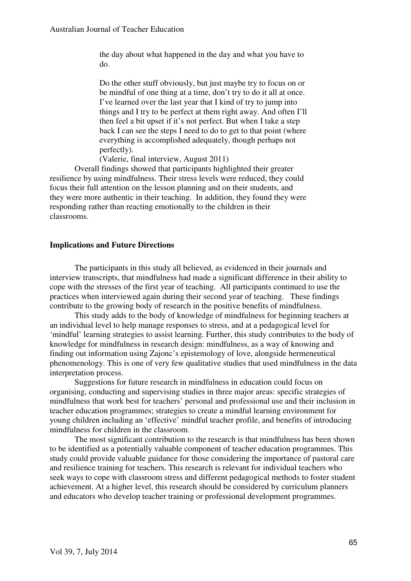the day about what happened in the day and what you have to do.

Do the other stuff obviously, but just maybe try to focus on or be mindful of one thing at a time, don't try to do it all at once. I've learned over the last year that I kind of try to jump into things and I try to be perfect at them right away. And often I'll then feel a bit upset if it's not perfect. But when I take a step back I can see the steps I need to do to get to that point (where everything is accomplished adequately, though perhaps not perfectly).

(Valerie, final interview, August 2011)

Overall findings showed that participants highlighted their greater resilience by using mindfulness. Their stress levels were reduced, they could focus their full attention on the lesson planning and on their students, and they were more authentic in their teaching. In addition, they found they were responding rather than reacting emotionally to the children in their classrooms.

#### **Implications and Future Directions**

The participants in this study all believed, as evidenced in their journals and interview transcripts, that mindfulness had made a significant difference in their ability to cope with the stresses of the first year of teaching. All participants continued to use the practices when interviewed again during their second year of teaching. These findings contribute to the growing body of research in the positive benefits of mindfulness.

This study adds to the body of knowledge of mindfulness for beginning teachers at an individual level to help manage responses to stress, and at a pedagogical level for 'mindful' learning strategies to assist learning. Further, this study contributes to the body of knowledge for mindfulness in research design: mindfulness, as a way of knowing and finding out information using Zajonc's epistemology of love, alongside hermeneutical phenomenology. This is one of very few qualitative studies that used mindfulness in the data interpretation process.

Suggestions for future research in mindfulness in education could focus on organising, conducting and supervising studies in three major areas: specific strategies of mindfulness that work best for teachers' personal and professional use and their inclusion in teacher education programmes; strategies to create a mindful learning environment for young children including an 'effective' mindful teacher profile, and benefits of introducing mindfulness for children in the classroom.

The most significant contribution to the research is that mindfulness has been shown to be identified as a potentially valuable component of teacher education programmes. This study could provide valuable guidance for those considering the importance of pastoral care and resilience training for teachers. This research is relevant for individual teachers who seek ways to cope with classroom stress and different pedagogical methods to foster student achievement. At a higher level, this research should be considered by curriculum planners and educators who develop teacher training or professional development programmes.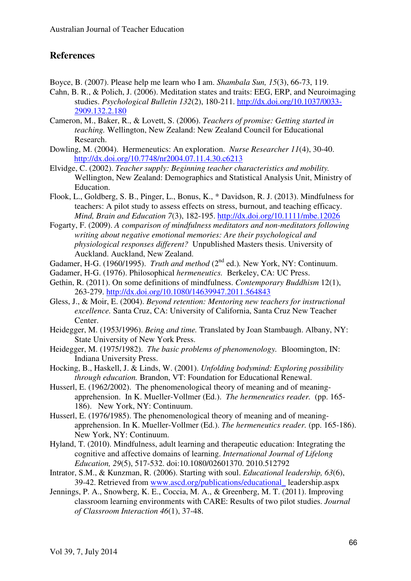# **References**

Boyce, B. (2007). Please help me learn who I am. *Shambala Sun, 15*(3), 66-73, 119.

- Cahn, B. R., & Polich, J. (2006). Meditation states and traits: EEG, ERP, and Neuroimaging studies. *Psychological Bulletin 132*(2), 180-211. http://dx.doi.org/10.1037/0033- 2909.132.2.180
- Cameron, M., Baker, R., & Lovett, S. (2006). *Teachers of promise: Getting started in teaching.* Wellington, New Zealand: New Zealand Council for Educational Research.
- Dowling, M. (2004). Hermeneutics: An exploration. *Nurse Researcher 11*(4), 30-40. http://dx.doi.org/10.7748/nr2004.07.11.4.30.c6213
- Elvidge, C. (2002). *Teacher supply: Beginning teacher characteristics and mobility.*  Wellington, New Zealand: Demographics and Statistical Analysis Unit, Ministry of Education.
- Flook, L., Goldberg, S. B., Pinger, L., Bonus, K., \* Davidson, R. J. (2013). Mindfulness for teachers: A pilot study to assess effects on stress, burnout, and teaching efficacy. *Mind, Brain and Education 7*(3), 182-195. http://dx.doi.org/10.1111/mbe.12026
- Fogarty, F. (2009). *A comparison of mindfulness meditators and non-meditators following writing about negative emotional memories: Are their psychological and physiological responses different?* Unpublished Masters thesis. University of Auckland. Auckland, New Zealand.
- Gadamer, H-G. (1960/1995). *Truth and method* (2<sup>nd</sup> ed.). New York, NY: Continuum.
- Gadamer, H-G. (1976). Philosophical *hermeneutics.* Berkeley, CA: UC Press.
- Gethin, R. (2011). On some definitions of mindfulness. *Contemporary Buddhism* 12(1), 263-279. http://dx.doi.org/10.1080/14639947.2011.564843
- Gless, J., & Moir, E. (2004). *Beyond retention: Mentoring new teachers for instructional excellence.* Santa Cruz, CA: University of California, Santa Cruz New Teacher Center.
- Heidegger, M. (1953/1996). *Being and time.* Translated by Joan Stambaugh. Albany, NY: State University of New York Press.
- Heidegger, M. (1975/1982). *The basic problems of phenomenology.* Bloomington, IN: Indiana University Press.
- Hocking, B., Haskell, J. & Linds, W. (2001). *Unfolding bodymind: Exploring possibility through education.* Brandon, VT: Foundation for Educational Renewal.
- Husserl, E. (1962/2002). The phenomenological theory of meaning and of meaningapprehension. In K. Mueller-Vollmer (Ed.). *The hermeneutics reader.* (pp. 165- 186). New York, NY: Continuum.
- Husserl, E. (1976/1985). The phenomenological theory of meaning and of meaningapprehension. In K. Mueller-Vollmer (Ed.). *The hermeneutics reader.* (pp. 165-186). New York, NY: Continuum.
- Hyland, T. (2010). Mindfulness, adult learning and therapeutic education: Integrating the cognitive and affective domains of learning. *International Journal of Lifelong Education, 29*(5), 517-532. doi:10.1080/02601370. 2010.512792
- Intrator, S.M., & Kunzman, R. (2006). Starting with soul. *Educational leadership, 63*(6), 39-42. Retrieved from www.ascd.org/publications/educational\_ leadership.aspx
- Jennings, P. A., Snowberg, K. E., Coccia, M. A., & Greenberg, M. T. (2011). Improving classroom learning environments with CARE: Results of two pilot studies. *Journal of Classroom Interaction 46*(1), 37-48.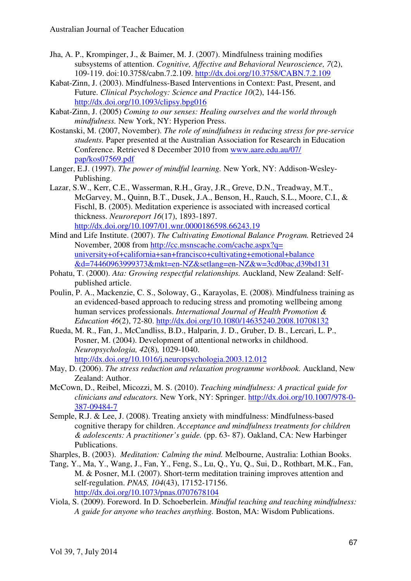- Jha, A. P., Krompinger, J., & Baimer, M. J. (2007). Mindfulness training modifies subsystems of attention. *Cognitive, Affective and Behavioral Neuroscience, 7*(2), 109-119. doi:10.3758/cabn.7.2.109. http://dx.doi.org/10.3758/CABN.7.2.109
- Kabat-Zinn, J. (2003). Mindfulness-Based Interventions in Context: Past, Present, and Future. *Clinical Psychology: Science and Practice 10*(2), 144-156. http://dx.doi.org/10.1093/clipsy.bpg016
- Kabat-Zinn, J. (2005) *Coming to our senses: Healing ourselves and the world through mindfulness.* New York, NY: Hyperion Press.
- Kostanski, M. (2007, November). *The role of mindfulness in reducing stress for pre-service students.* Paper presented at the Australian Association for Research in Education Conference. Retrieved 8 December 2010 from www.aare.edu.au/07/ pap/kos07569.pdf
- Langer, E.J. (1997). *The power of mindful learning.* New York, NY: Addison-Wesley-Publishing.
- Lazar, S.W., Kerr, C.E., Wasserman, R.H., Gray, J.R., Greve, D.N., Treadway, M.T., McGarvey, M., Quinn, B.T., Dusek, J.A., Benson, H., Rauch, S.L., Moore, C.I., & Fischl, B. (2005). Meditation experience is associated with increased cortical thickness. *Neuroreport 16*(17), 1893-1897. http://dx.doi.org/10.1097/01.wnr.0000186598.66243.19
- Mind and Life Institute. (2007). *The Cultivating Emotional Balance Program.* Retrieved 24 November, 2008 from http://cc.msnscache.com/cache.aspx?q= university+of+california+san+francisco+cultivating+emotional+balance &d=74460963999373&mkt=en-NZ&setlang=en-NZ&w=3cd0bac,d39bd131
- Pohatu, T. (2000). *Ata: Growing respectful relationships.* Auckland, New Zealand: Selfpublished article.
- Poulin, P. A., Mackenzie, C. S., Soloway, G., Karayolas, E. (2008). Mindfulness training as an evidenced-based approach to reducing stress and promoting wellbeing among human services professionals. *International Journal of Health Promotion & Education 46*(2), 72-80. http://dx.doi.org/10.1080/14635240.2008.10708132
- Rueda, M. R., Fan, J., McCandliss, B.D., Halparin, J. D., Gruber, D. B., Lercari, L. P., Posner, M. (2004). Development of attentional networks in childhood. *Neuropsychologia, 42*(8)*,* 1029-1040. http://dx.doi.org/10.1016/j.neuropsychologia.2003.12.012
- May, D. (2006). *The stress reduction and relaxation programme workbook.* Auckland, New Zealand: Author.
- McCown, D., Reibel, Micozzi, M. S. (2010). *Teaching mindfulness: A practical guide for clinicians and educators.* New York, NY: Springer. http://dx.doi.org/10.1007/978-0- 387-09484-7
- Semple, R.J. & Lee, J. (2008). Treating anxiety with mindfulness: Mindfulness-based cognitive therapy for children. *Acceptance and mindfulness treatments for children & adolescents: A practitioner's guide.* (pp. 63- 87). Oakland, CA: New Harbinger Publications.
- Sharples, B. (2003). *Meditation: Calming the mind.* Melbourne, Australia: Lothian Books.
- Tang, Y., Ma, Y., Wang, J., Fan, Y., Feng, S., Lu, Q., Yu, Q., Sui, D., Rothbart, M.K., Fan, M. & Posner, M.I. (2007). Short-term meditation training improves attention and self-regulation. *PNAS, 104*(43), 17152-17156. http://dx.doi.org/10.1073/pnas.0707678104
- Viola, S. (2009). Foreword. In D. Schoeberlein. *Mindful teaching and teaching mindfulness: A guide for anyone who teaches anything.* Boston, MA: Wisdom Publications.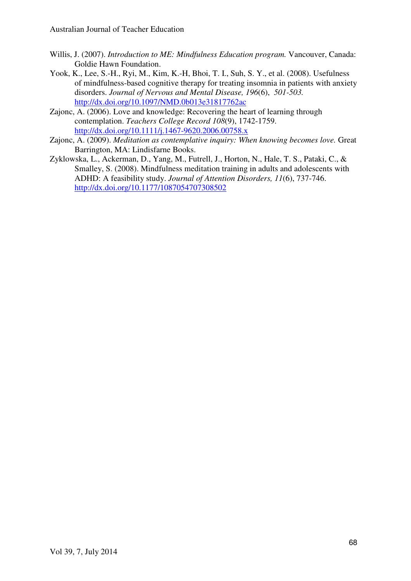- Willis, J. (2007). *Introduction to ME: Mindfulness Education program.* Vancouver, Canada: Goldie Hawn Foundation.
- Yook, K., Lee, S.-H., Ryi, M., Kim, K.-H, Bhoi, T. I., Suh, S. Y., et al. (2008). Usefulness of mindfulness-based cognitive therapy for treating insomnia in patients with anxiety disorders. *Journal of Nervous and Mental Disease, 196*(6), *501-503.*  http://dx.doi.org/10.1097/NMD.0b013e31817762ac
- Zajonc, A. (2006). Love and knowledge: Recovering the heart of learning through contemplation. *Teachers College Record 108*(9), 1742-1759. http://dx.doi.org/10.1111/j.1467-9620.2006.00758.x
- Zajonc, A. (2009). *Meditation as contemplative inquiry: When knowing becomes love.* Great Barrington, MA: Lindisfarne Books.
- Zyklowska, L., Ackerman, D., Yang, M., Futrell, J., Horton, N., Hale, T. S., Pataki, C., & Smalley, S. (2008). Mindfulness meditation training in adults and adolescents with ADHD: A feasibility study. *Journal of Attention Disorders, 11*(6), 737-746. http://dx.doi.org/10.1177/1087054707308502